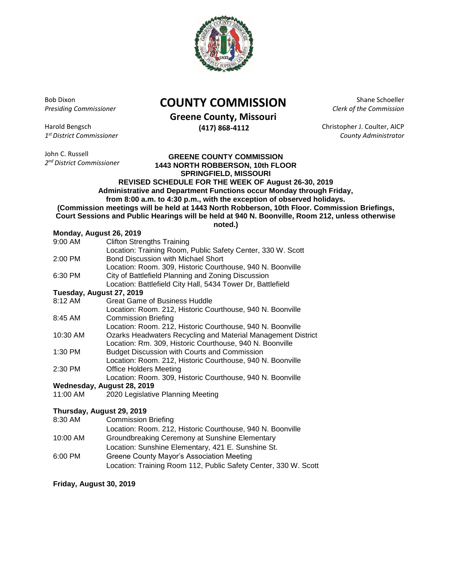

Bob Dixon *Presiding Commissioner*

Harold Bengsch *1 st District Commissioner*

John C. Russell *2 nd District Commissioner*

## **COUNTY COMMISSION**

**Greene County, Missouri**

**(417) 868-4112**

Shane Schoeller *Clerk of the Commission*

Christopher J. Coulter, AICP *County Administrator*

**GREENE COUNTY COMMISSION 1443 NORTH ROBBERSON, 10th FLOOR SPRINGFIELD, MISSOURI REVISED SCHEDULE FOR THE WEEK OF August 26-30, 2019 Administrative and Department Functions occur Monday through Friday, from 8:00 a.m. to 4:30 p.m., with the exception of observed holidays. (Commission meetings will be held at 1443 North Robberson, 10th Floor. Commission Briefings, Court Sessions and Public Hearings will be held at 940 N. Boonville, Room 212, unless otherwise** 

**noted.)**

## **Monday, August 26, 2019**

| 9:00 AM                    | <b>Clifton Strengths Training</b>                            |
|----------------------------|--------------------------------------------------------------|
|                            | Location: Training Room, Public Safety Center, 330 W. Scott  |
| 2:00 PM                    | <b>Bond Discussion with Michael Short</b>                    |
|                            | Location: Room. 309, Historic Courthouse, 940 N. Boonville   |
| 6:30 PM                    | City of Battlefield Planning and Zoning Discussion           |
|                            | Location: Battlefield City Hall, 5434 Tower Dr, Battlefield  |
| Tuesday, August 27, 2019   |                                                              |
| 8:12 AM                    | Great Game of Business Huddle                                |
|                            | Location: Room. 212, Historic Courthouse, 940 N. Boonville   |
| 8:45 AM                    | Commission Briefing                                          |
|                            | Location: Room. 212, Historic Courthouse, 940 N. Boonville   |
| 10:30 AM                   | Ozarks Headwaters Recycling and Material Management District |
|                            | Location: Rm. 309, Historic Courthouse, 940 N. Boonville     |
| 1:30 PM                    | <b>Budget Discussion with Courts and Commission</b>          |
|                            | Location: Room. 212, Historic Courthouse, 940 N. Boonville   |
| 2:30 PM                    | <b>Office Holders Meeting</b>                                |
|                            | Location: Room. 309, Historic Courthouse, 940 N. Boonville   |
| Wednesday, August 28, 2019 |                                                              |
| 11:00 AM                   | 2020 Legislative Planning Meeting                            |
|                            |                                                              |
| Thursday, August 29, 2019  |                                                              |

8:30 AM Commission Briefing Location: Room. 212, Historic Courthouse, 940 N. Boonville 10:00 AM Groundbreaking Ceremony at Sunshine Elementary Location: Sunshine Elementary, 421 E. Sunshine St. 6:00 PM Greene County Mayor's Association Meeting Location: Training Room 112, Public Safety Center, 330 W. Scott

**Friday, August 30, 2019**